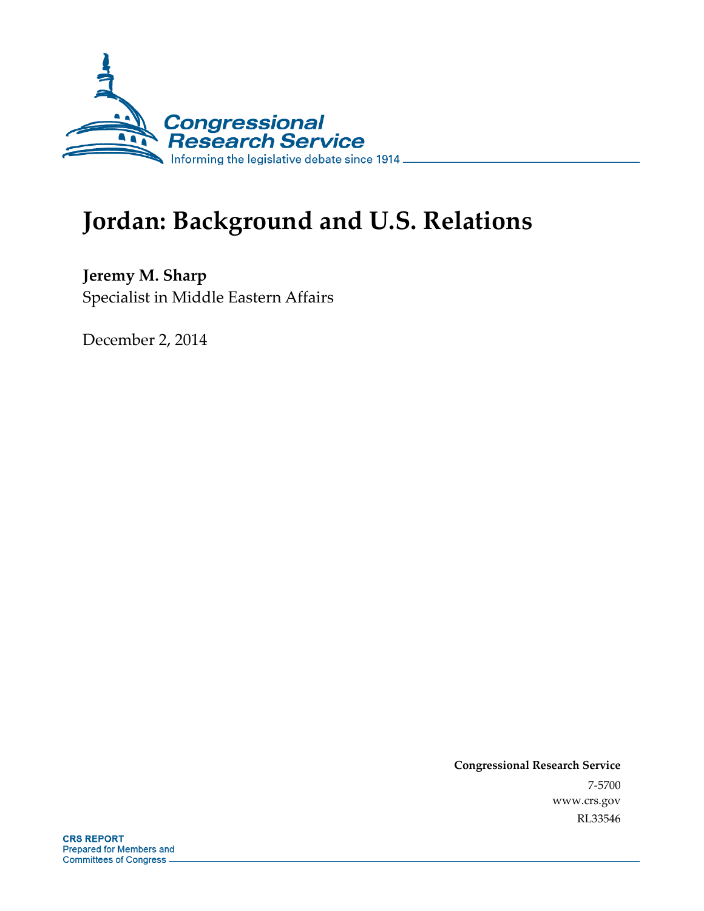

# **Jordan: Background and U.S. Relations**

**Jeremy M. Sharp**  Specialist in Middle Eastern Affairs

December 2, 2014

**Congressional Research Service**  7-5700 www.crs.gov RL33546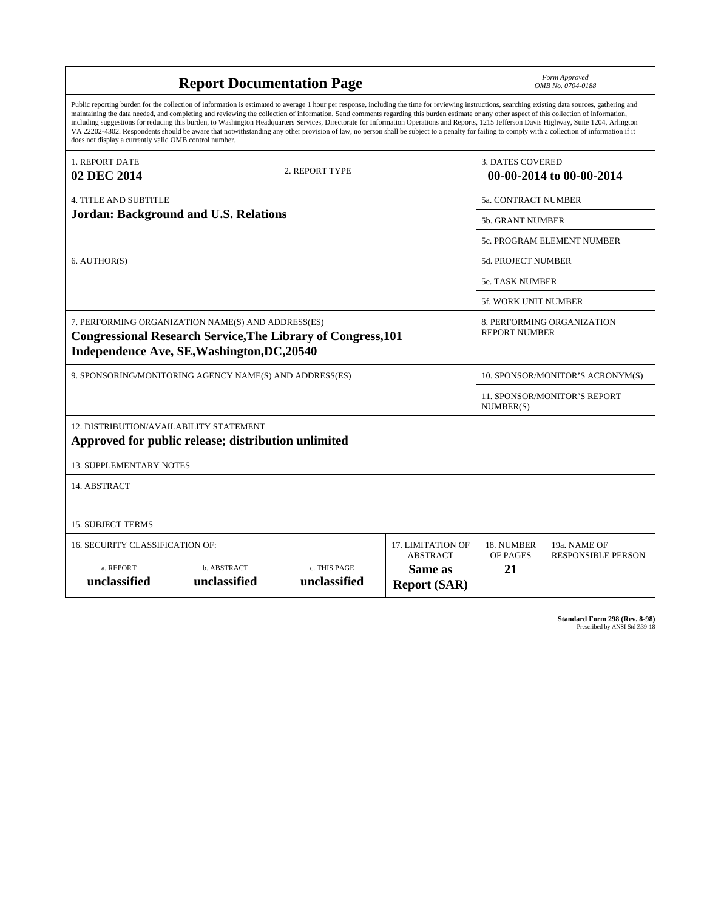| <b>Report Documentation Page</b>                                                                                                                                                                                                                                                                                                                                                                                                                                                                                                                                                                                                                                                                                                                                                                                                                                   |                                              |  |  | Form Approved<br>OMB No. 0704-0188                  |                                                    |  |  |
|--------------------------------------------------------------------------------------------------------------------------------------------------------------------------------------------------------------------------------------------------------------------------------------------------------------------------------------------------------------------------------------------------------------------------------------------------------------------------------------------------------------------------------------------------------------------------------------------------------------------------------------------------------------------------------------------------------------------------------------------------------------------------------------------------------------------------------------------------------------------|----------------------------------------------|--|--|-----------------------------------------------------|----------------------------------------------------|--|--|
| Public reporting burden for the collection of information is estimated to average 1 hour per response, including the time for reviewing instructions, searching existing data sources, gathering and<br>maintaining the data needed, and completing and reviewing the collection of information. Send comments regarding this burden estimate or any other aspect of this collection of information,<br>including suggestions for reducing this burden, to Washington Headquarters Services, Directorate for Information Operations and Reports, 1215 Jefferson Davis Highway, Suite 1204, Arlington<br>VA 22202-4302. Respondents should be aware that notwithstanding any other provision of law, no person shall be subject to a penalty for failing to comply with a collection of information if it<br>does not display a currently valid OMB control number. |                                              |  |  |                                                     |                                                    |  |  |
| 1. REPORT DATE<br>2. REPORT TYPE<br>02 DEC 2014                                                                                                                                                                                                                                                                                                                                                                                                                                                                                                                                                                                                                                                                                                                                                                                                                    |                                              |  |  | <b>3. DATES COVERED</b><br>00-00-2014 to 00-00-2014 |                                                    |  |  |
| <b>4. TITLE AND SUBTITLE</b>                                                                                                                                                                                                                                                                                                                                                                                                                                                                                                                                                                                                                                                                                                                                                                                                                                       |                                              |  |  | 5a. CONTRACT NUMBER                                 |                                                    |  |  |
|                                                                                                                                                                                                                                                                                                                                                                                                                                                                                                                                                                                                                                                                                                                                                                                                                                                                    | <b>Jordan: Background and U.S. Relations</b> |  |  | <b>5b. GRANT NUMBER</b>                             |                                                    |  |  |
|                                                                                                                                                                                                                                                                                                                                                                                                                                                                                                                                                                                                                                                                                                                                                                                                                                                                    |                                              |  |  | 5c. PROGRAM ELEMENT NUMBER                          |                                                    |  |  |
| 6. AUTHOR(S)                                                                                                                                                                                                                                                                                                                                                                                                                                                                                                                                                                                                                                                                                                                                                                                                                                                       |                                              |  |  | <b>5d. PROJECT NUMBER</b>                           |                                                    |  |  |
|                                                                                                                                                                                                                                                                                                                                                                                                                                                                                                                                                                                                                                                                                                                                                                                                                                                                    |                                              |  |  | <b>5e. TASK NUMBER</b>                              |                                                    |  |  |
|                                                                                                                                                                                                                                                                                                                                                                                                                                                                                                                                                                                                                                                                                                                                                                                                                                                                    |                                              |  |  | 5f. WORK UNIT NUMBER                                |                                                    |  |  |
| 7. PERFORMING ORGANIZATION NAME(S) AND ADDRESS(ES)<br><b>Congressional Research Service, The Library of Congress, 101</b><br>Independence Ave, SE, Washington, DC, 20540                                                                                                                                                                                                                                                                                                                                                                                                                                                                                                                                                                                                                                                                                           |                                              |  |  |                                                     | 8. PERFORMING ORGANIZATION<br><b>REPORT NUMBER</b> |  |  |
| 9. SPONSORING/MONITORING AGENCY NAME(S) AND ADDRESS(ES)                                                                                                                                                                                                                                                                                                                                                                                                                                                                                                                                                                                                                                                                                                                                                                                                            |                                              |  |  | 10. SPONSOR/MONITOR'S ACRONYM(S)                    |                                                    |  |  |
|                                                                                                                                                                                                                                                                                                                                                                                                                                                                                                                                                                                                                                                                                                                                                                                                                                                                    |                                              |  |  |                                                     | 11. SPONSOR/MONITOR'S REPORT<br>NUMBER(S)          |  |  |
| 12. DISTRIBUTION/AVAILABILITY STATEMENT<br>Approved for public release; distribution unlimited                                                                                                                                                                                                                                                                                                                                                                                                                                                                                                                                                                                                                                                                                                                                                                     |                                              |  |  |                                                     |                                                    |  |  |
| <b>13. SUPPLEMENTARY NOTES</b>                                                                                                                                                                                                                                                                                                                                                                                                                                                                                                                                                                                                                                                                                                                                                                                                                                     |                                              |  |  |                                                     |                                                    |  |  |
| 14. ABSTRACT                                                                                                                                                                                                                                                                                                                                                                                                                                                                                                                                                                                                                                                                                                                                                                                                                                                       |                                              |  |  |                                                     |                                                    |  |  |
| <b>15. SUBJECT TERMS</b>                                                                                                                                                                                                                                                                                                                                                                                                                                                                                                                                                                                                                                                                                                                                                                                                                                           |                                              |  |  |                                                     |                                                    |  |  |
| 16. SECURITY CLASSIFICATION OF:<br>17. LIMITATION OF                                                                                                                                                                                                                                                                                                                                                                                                                                                                                                                                                                                                                                                                                                                                                                                                               |                                              |  |  | 18. NUMBER                                          | 19a. NAME OF                                       |  |  |
| <b>ABSTRACT</b><br>c. THIS PAGE<br>a. REPORT<br>b. ABSTRACT<br>Same as<br>unclassified<br>unclassified<br>unclassified<br><b>Report (SAR)</b>                                                                                                                                                                                                                                                                                                                                                                                                                                                                                                                                                                                                                                                                                                                      |                                              |  |  | OF PAGES<br>21                                      | <b>RESPONSIBLE PERSON</b>                          |  |  |

**Standard Form 298 (Rev. 8-98)**<br>Prescribed by ANSI Std Z39-18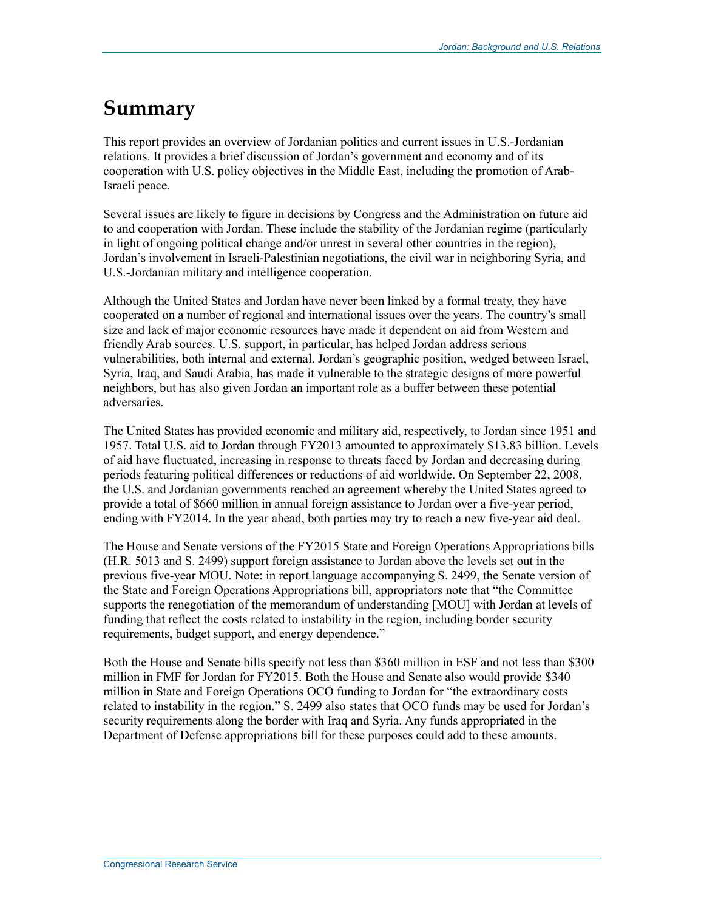## **Summary**

This report provides an overview of Jordanian politics and current issues in U.S.-Jordanian relations. It provides a brief discussion of Jordan's government and economy and of its cooperation with U.S. policy objectives in the Middle East, including the promotion of Arab-Israeli peace.

Several issues are likely to figure in decisions by Congress and the Administration on future aid to and cooperation with Jordan. These include the stability of the Jordanian regime (particularly in light of ongoing political change and/or unrest in several other countries in the region), Jordan's involvement in Israeli-Palestinian negotiations, the civil war in neighboring Syria, and U.S.-Jordanian military and intelligence cooperation.

Although the United States and Jordan have never been linked by a formal treaty, they have cooperated on a number of regional and international issues over the years. The country's small size and lack of major economic resources have made it dependent on aid from Western and friendly Arab sources. U.S. support, in particular, has helped Jordan address serious vulnerabilities, both internal and external. Jordan's geographic position, wedged between Israel, Syria, Iraq, and Saudi Arabia, has made it vulnerable to the strategic designs of more powerful neighbors, but has also given Jordan an important role as a buffer between these potential adversaries.

The United States has provided economic and military aid, respectively, to Jordan since 1951 and 1957. Total U.S. aid to Jordan through FY2013 amounted to approximately \$13.83 billion. Levels of aid have fluctuated, increasing in response to threats faced by Jordan and decreasing during periods featuring political differences or reductions of aid worldwide. On September 22, 2008, the U.S. and Jordanian governments reached an agreement whereby the United States agreed to provide a total of \$660 million in annual foreign assistance to Jordan over a five-year period, ending with FY2014. In the year ahead, both parties may try to reach a new five-year aid deal.

The House and Senate versions of the FY2015 State and Foreign Operations Appropriations bills (H.R. 5013 and S. 2499) support foreign assistance to Jordan above the levels set out in the previous five-year MOU. Note: in report language accompanying S. 2499, the Senate version of the State and Foreign Operations Appropriations bill, appropriators note that "the Committee supports the renegotiation of the memorandum of understanding [MOU] with Jordan at levels of funding that reflect the costs related to instability in the region, including border security requirements, budget support, and energy dependence."

Both the House and Senate bills specify not less than \$360 million in ESF and not less than \$300 million in FMF for Jordan for FY2015. Both the House and Senate also would provide \$340 million in State and Foreign Operations OCO funding to Jordan for "the extraordinary costs related to instability in the region." S. 2499 also states that OCO funds may be used for Jordan's security requirements along the border with Iraq and Syria. Any funds appropriated in the Department of Defense appropriations bill for these purposes could add to these amounts.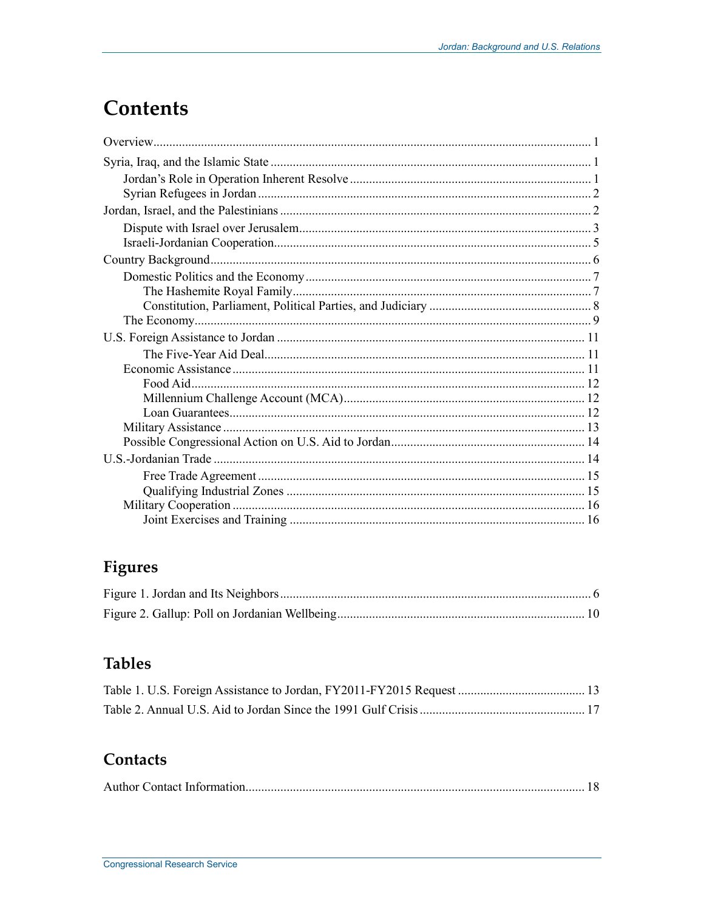## **Contents**

## Figures

## **Tables**

## Contacts

|--|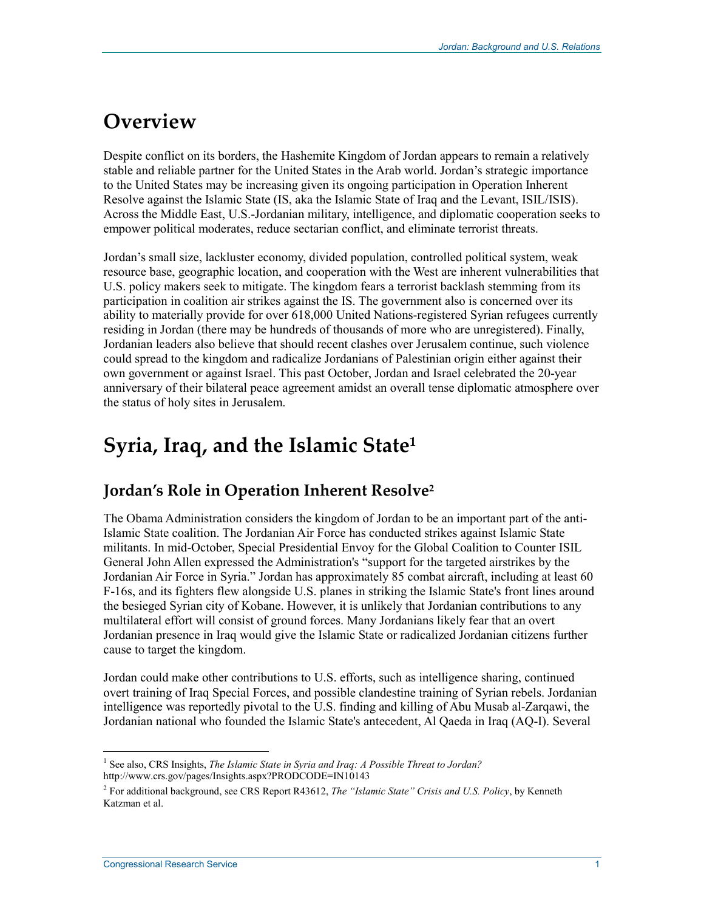## **Overview**

Despite conflict on its borders, the Hashemite Kingdom of Jordan appears to remain a relatively stable and reliable partner for the United States in the Arab world. Jordan's strategic importance to the United States may be increasing given its ongoing participation in Operation Inherent Resolve against the Islamic State (IS, aka the Islamic State of Iraq and the Levant, ISIL/ISIS). Across the Middle East, U.S.-Jordanian military, intelligence, and diplomatic cooperation seeks to empower political moderates, reduce sectarian conflict, and eliminate terrorist threats.

Jordan's small size, lackluster economy, divided population, controlled political system, weak resource base, geographic location, and cooperation with the West are inherent vulnerabilities that U.S. policy makers seek to mitigate. The kingdom fears a terrorist backlash stemming from its participation in coalition air strikes against the IS. The government also is concerned over its ability to materially provide for over 618,000 United Nations-registered Syrian refugees currently residing in Jordan (there may be hundreds of thousands of more who are unregistered). Finally, Jordanian leaders also believe that should recent clashes over Jerusalem continue, such violence could spread to the kingdom and radicalize Jordanians of Palestinian origin either against their own government or against Israel. This past October, Jordan and Israel celebrated the 20-year anniversary of their bilateral peace agreement amidst an overall tense diplomatic atmosphere over the status of holy sites in Jerusalem.

## **Syria, Iraq, and the Islamic State1**

### **Jordan's Role in Operation Inherent Resolve2**

The Obama Administration considers the kingdom of Jordan to be an important part of the anti-Islamic State coalition. The Jordanian Air Force has conducted strikes against Islamic State militants. In mid-October, Special Presidential Envoy for the Global Coalition to Counter ISIL General John Allen expressed the Administration's "support for the targeted airstrikes by the Jordanian Air Force in Syria." Jordan has approximately 85 combat aircraft, including at least 60 F-16s, and its fighters flew alongside U.S. planes in striking the Islamic State's front lines around the besieged Syrian city of Kobane. However, it is unlikely that Jordanian contributions to any multilateral effort will consist of ground forces. Many Jordanians likely fear that an overt Jordanian presence in Iraq would give the Islamic State or radicalized Jordanian citizens further cause to target the kingdom.

Jordan could make other contributions to U.S. efforts, such as intelligence sharing, continued overt training of Iraq Special Forces, and possible clandestine training of Syrian rebels. Jordanian intelligence was reportedly pivotal to the U.S. finding and killing of Abu Musab al-Zarqawi, the Jordanian national who founded the Islamic State's antecedent, Al Qaeda in Iraq (AQ-I). Several

<sup>1</sup> <sup>1</sup> See also, CRS Insights, *The Islamic State in Syria and Iraq: A Possible Threat to Jordan?* http://www.crs.gov/pages/Insights.aspx?PRODCODE=IN10143

<sup>2</sup> For additional background, see CRS Report R43612, *The "Islamic State" Crisis and U.S. Policy*, by Kenneth Katzman et al.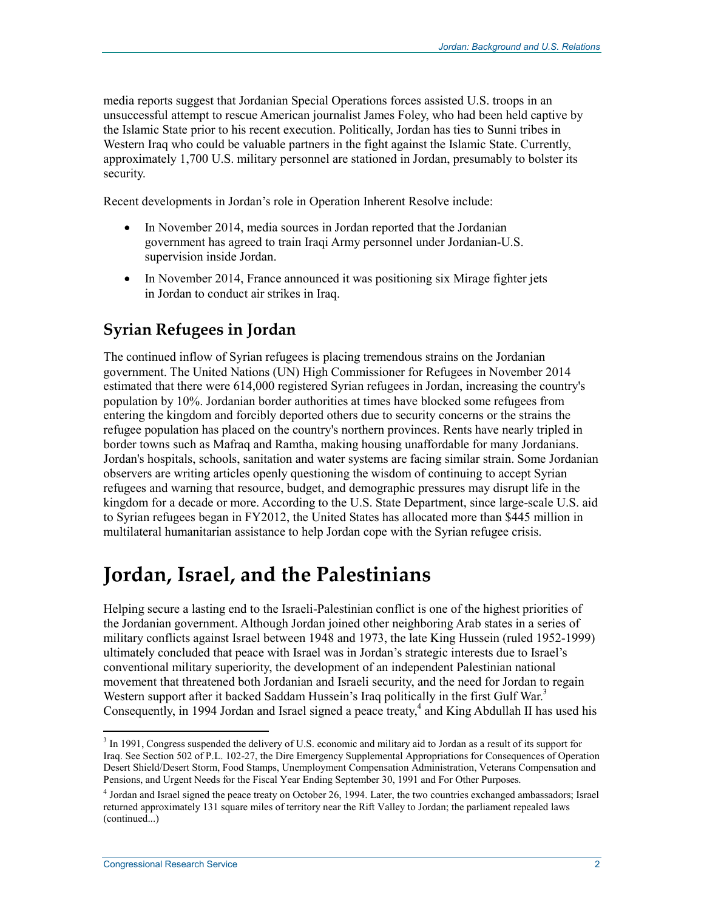media reports suggest that Jordanian Special Operations forces assisted U.S. troops in an unsuccessful attempt to rescue American journalist James Foley, who had been held captive by the Islamic State prior to his recent execution. Politically, Jordan has ties to Sunni tribes in Western Iraq who could be valuable partners in the fight against the Islamic State. Currently, approximately 1,700 U.S. military personnel are stationed in Jordan, presumably to bolster its security.

Recent developments in Jordan's role in Operation Inherent Resolve include:

- In November 2014, media sources in Jordan reported that the Jordanian government has agreed to train Iraqi Army personnel under Jordanian-U.S. supervision inside Jordan.
- In November 2014, France announced it was positioning six Mirage fighter jets in Jordan to conduct air strikes in Iraq.

### **Syrian Refugees in Jordan**

The continued inflow of Syrian refugees is placing tremendous strains on the Jordanian government. The United Nations (UN) High Commissioner for Refugees in November 2014 estimated that there were 614,000 registered Syrian refugees in Jordan, increasing the country's population by 10%. Jordanian border authorities at times have blocked some refugees from entering the kingdom and forcibly deported others due to security concerns or the strains the refugee population has placed on the country's northern provinces. Rents have nearly tripled in border towns such as Mafraq and Ramtha, making housing unaffordable for many Jordanians. Jordan's hospitals, schools, sanitation and water systems are facing similar strain. Some Jordanian observers are writing articles openly questioning the wisdom of continuing to accept Syrian refugees and warning that resource, budget, and demographic pressures may disrupt life in the kingdom for a decade or more. According to the U.S. State Department, since large-scale U.S. aid to Syrian refugees began in FY2012, the United States has allocated more than \$445 million in multilateral humanitarian assistance to help Jordan cope with the Syrian refugee crisis.

## **Jordan, Israel, and the Palestinians**

Helping secure a lasting end to the Israeli-Palestinian conflict is one of the highest priorities of the Jordanian government. Although Jordan joined other neighboring Arab states in a series of military conflicts against Israel between 1948 and 1973, the late King Hussein (ruled 1952-1999) ultimately concluded that peace with Israel was in Jordan's strategic interests due to Israel's conventional military superiority, the development of an independent Palestinian national movement that threatened both Jordanian and Israeli security, and the need for Jordan to regain Western support after it backed Saddam Hussein's Iraq politically in the first Gulf War.<sup>3</sup> Consequently, in 1994 Jordan and Israel signed a peace treaty, $4$  and King Abdullah II has used his

<sup>&</sup>lt;sup>3</sup> In 1991, Congress suspended the delivery of U.S. economic and military aid to Jordan as a result of its support for Iraq. See Section 502 of P.L. 102-27, the Dire Emergency Supplemental Appropriations for Consequences of Operation Desert Shield/Desert Storm, Food Stamps, Unemployment Compensation Administration, Veterans Compensation and Pensions, and Urgent Needs for the Fiscal Year Ending September 30, 1991 and For Other Purposes.

<sup>4</sup> Jordan and Israel signed the peace treaty on October 26, 1994. Later, the two countries exchanged ambassadors; Israel returned approximately 131 square miles of territory near the Rift Valley to Jordan; the parliament repealed laws (continued...)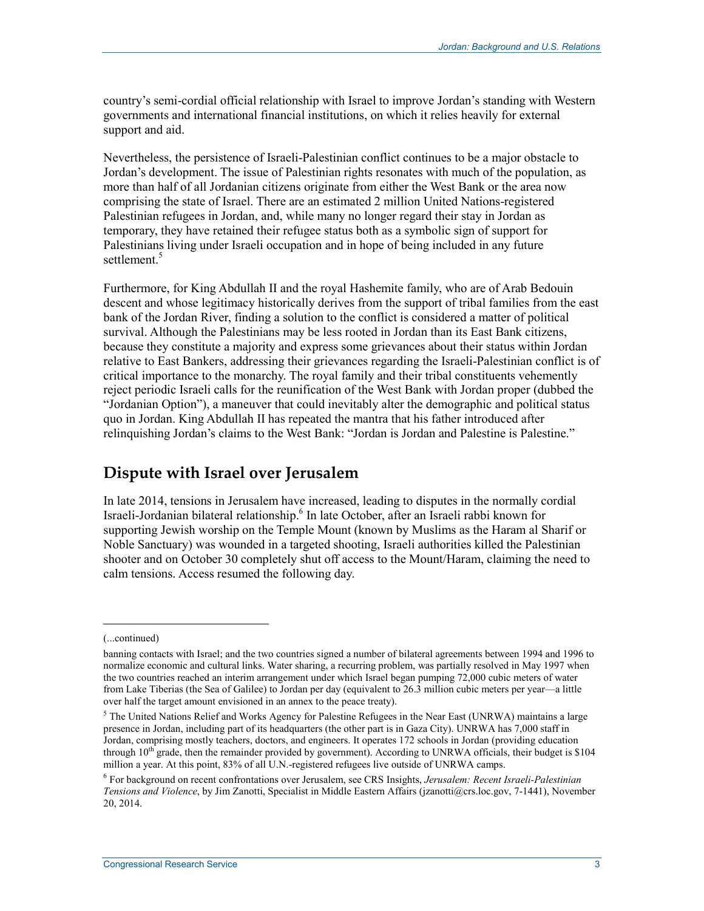country's semi-cordial official relationship with Israel to improve Jordan's standing with Western governments and international financial institutions, on which it relies heavily for external support and aid.

Nevertheless, the persistence of Israeli-Palestinian conflict continues to be a major obstacle to Jordan's development. The issue of Palestinian rights resonates with much of the population, as more than half of all Jordanian citizens originate from either the West Bank or the area now comprising the state of Israel. There are an estimated 2 million United Nations-registered Palestinian refugees in Jordan, and, while many no longer regard their stay in Jordan as temporary, they have retained their refugee status both as a symbolic sign of support for Palestinians living under Israeli occupation and in hope of being included in any future settlement.<sup>5</sup>

Furthermore, for King Abdullah II and the royal Hashemite family, who are of Arab Bedouin descent and whose legitimacy historically derives from the support of tribal families from the east bank of the Jordan River, finding a solution to the conflict is considered a matter of political survival. Although the Palestinians may be less rooted in Jordan than its East Bank citizens, because they constitute a majority and express some grievances about their status within Jordan relative to East Bankers, addressing their grievances regarding the Israeli-Palestinian conflict is of critical importance to the monarchy. The royal family and their tribal constituents vehemently reject periodic Israeli calls for the reunification of the West Bank with Jordan proper (dubbed the "Jordanian Option"), a maneuver that could inevitably alter the demographic and political status quo in Jordan. King Abdullah II has repeated the mantra that his father introduced after relinquishing Jordan's claims to the West Bank: "Jordan is Jordan and Palestine is Palestine."

### **Dispute with Israel over Jerusalem**

In late 2014, tensions in Jerusalem have increased, leading to disputes in the normally cordial Israeli-Jordanian bilateral relationship.<sup>6</sup> In late October, after an Israeli rabbi known for supporting Jewish worship on the Temple Mount (known by Muslims as the Haram al Sharif or Noble Sanctuary) was wounded in a targeted shooting, Israeli authorities killed the Palestinian shooter and on October 30 completely shut off access to the Mount/Haram, claiming the need to calm tensions. Access resumed the following day.

 $\overline{\phantom{a}}$ 

<sup>(...</sup>continued)

banning contacts with Israel; and the two countries signed a number of bilateral agreements between 1994 and 1996 to normalize economic and cultural links. Water sharing, a recurring problem, was partially resolved in May 1997 when the two countries reached an interim arrangement under which Israel began pumping 72,000 cubic meters of water from Lake Tiberias (the Sea of Galilee) to Jordan per day (equivalent to 26.3 million cubic meters per year—a little over half the target amount envisioned in an annex to the peace treaty).

<sup>&</sup>lt;sup>5</sup> The United Nations Relief and Works Agency for Palestine Refugees in the Near East (UNRWA) maintains a large presence in Jordan, including part of its headquarters (the other part is in Gaza City). UNRWA has 7,000 staff in Jordan, comprising mostly teachers, doctors, and engineers. It operates 172 schools in Jordan (providing education through  $10^{th}$  grade, then the remainder provided by government). According to UNRWA officials, their budget is \$104 million a year. At this point, 83% of all U.N.-registered refugees live outside of UNRWA camps.

<sup>6</sup> For background on recent confrontations over Jerusalem, see CRS Insights, *Jerusalem: Recent Israeli-Palestinian Tensions and Violence*, by Jim Zanotti, Specialist in Middle Eastern Affairs (jzanotti@crs.loc.gov, 7-1441), November 20, 2014.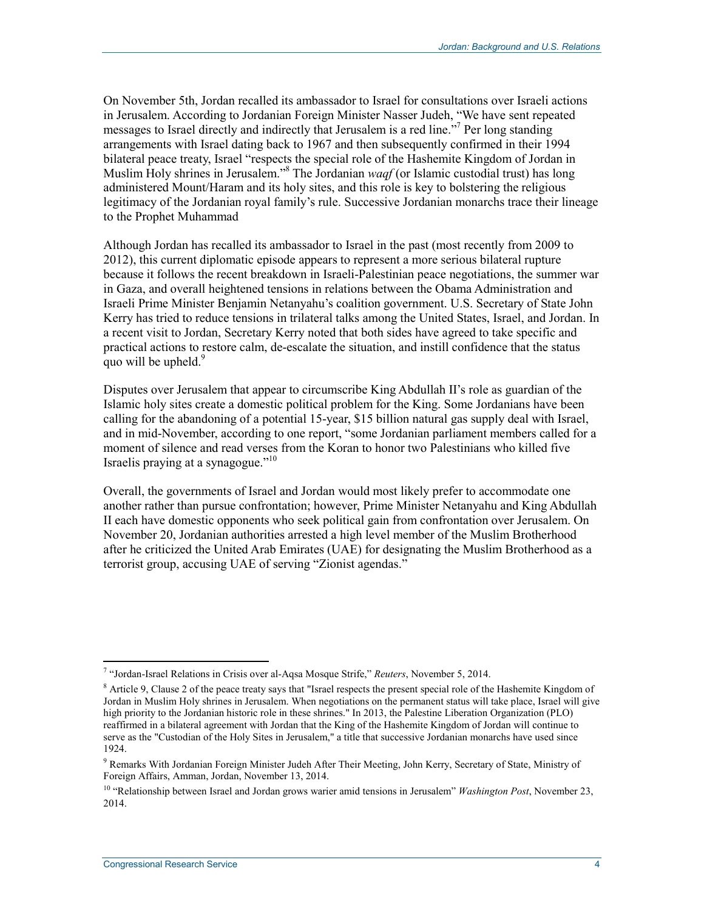On November 5th, Jordan recalled its ambassador to Israel for consultations over Israeli actions in Jerusalem. According to Jordanian Foreign Minister Nasser Judeh, "We have sent repeated messages to Israel directly and indirectly that Jerusalem is a red line."<sup>7</sup> Per long standing arrangements with Israel dating back to 1967 and then subsequently confirmed in their 1994 bilateral peace treaty, Israel "respects the special role of the Hashemite Kingdom of Jordan in Muslim Holy shrines in Jerusalem."<sup>8</sup> The Jordanian *waqf* (or Islamic custodial trust) has long administered Mount/Haram and its holy sites, and this role is key to bolstering the religious legitimacy of the Jordanian royal family's rule. Successive Jordanian monarchs trace their lineage to the Prophet Muhammad

Although Jordan has recalled its ambassador to Israel in the past (most recently from 2009 to 2012), this current diplomatic episode appears to represent a more serious bilateral rupture because it follows the recent breakdown in Israeli-Palestinian peace negotiations, the summer war in Gaza, and overall heightened tensions in relations between the Obama Administration and Israeli Prime Minister Benjamin Netanyahu's coalition government. U.S. Secretary of State John Kerry has tried to reduce tensions in trilateral talks among the United States, Israel, and Jordan. In a recent visit to Jordan, Secretary Kerry noted that both sides have agreed to take specific and practical actions to restore calm, de-escalate the situation, and instill confidence that the status quo will be upheld. $9$ 

Disputes over Jerusalem that appear to circumscribe King Abdullah II's role as guardian of the Islamic holy sites create a domestic political problem for the King. Some Jordanians have been calling for the abandoning of a potential 15-year, \$15 billion natural gas supply deal with Israel, and in mid-November, according to one report, "some Jordanian parliament members called for a moment of silence and read verses from the Koran to honor two Palestinians who killed five Israelis praying at a synagogue."10

Overall, the governments of Israel and Jordan would most likely prefer to accommodate one another rather than pursue confrontation; however, Prime Minister Netanyahu and King Abdullah II each have domestic opponents who seek political gain from confrontation over Jerusalem. On November 20, Jordanian authorities arrested a high level member of the Muslim Brotherhood after he criticized the United Arab Emirates (UAE) for designating the Muslim Brotherhood as a terrorist group, accusing UAE of serving "Zionist agendas."

<sup>&</sup>lt;u>.</u> 7 "Jordan-Israel Relations in Crisis over al-Aqsa Mosque Strife," *Reuters*, November 5, 2014.

<sup>&</sup>lt;sup>8</sup> Article 9, Clause 2 of the peace treaty says that "Israel respects the present special role of the Hashemite Kingdom of Jordan in Muslim Holy shrines in Jerusalem. When negotiations on the permanent status will take place, Israel will give high priority to the Jordanian historic role in these shrines." In 2013, the Palestine Liberation Organization (PLO) reaffirmed in a bilateral agreement with Jordan that the King of the Hashemite Kingdom of Jordan will continue to serve as the "Custodian of the Holy Sites in Jerusalem," a title that successive Jordanian monarchs have used since 1924.

<sup>&</sup>lt;sup>9</sup> Remarks With Jordanian Foreign Minister Judeh After Their Meeting, John Kerry, Secretary of State, Ministry of Foreign Affairs, Amman, Jordan, November 13, 2014.

<sup>&</sup>lt;sup>10</sup> "Relationship between Israel and Jordan grows warier amid tensions in Jerusalem" *Washington Post*, November 23, 2014.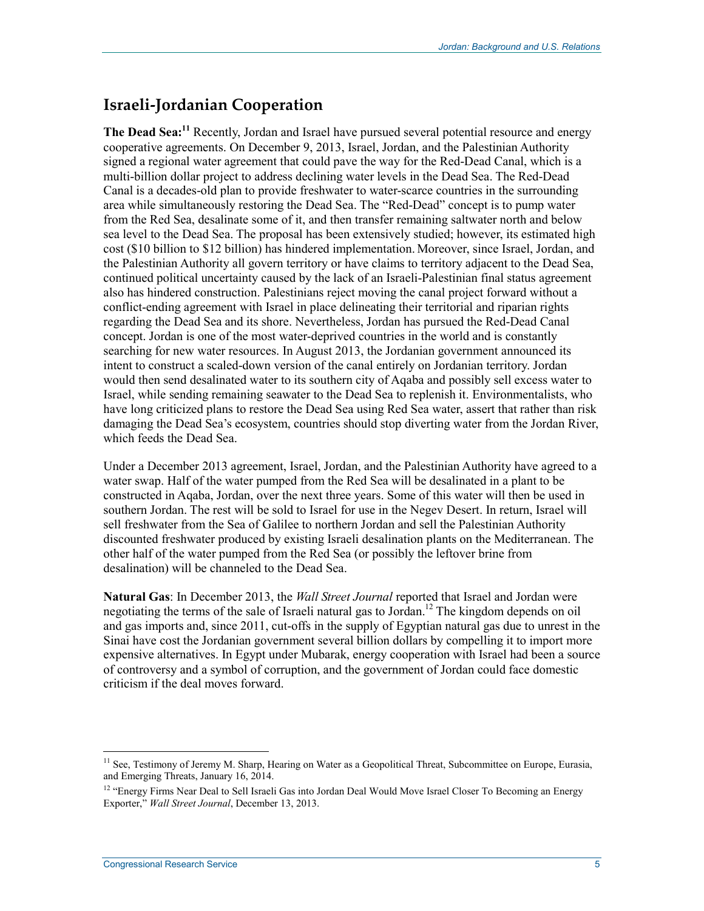### **Israeli-Jordanian Cooperation**

**The Dead Sea:**<sup>11</sup> Recently, Jordan and Israel have pursued several potential resource and energy cooperative agreements. On December 9, 2013, Israel, Jordan, and the Palestinian Authority signed a regional water agreement that could pave the way for the Red-Dead Canal, which is a multi-billion dollar project to address declining water levels in the Dead Sea. The Red-Dead Canal is a decades-old plan to provide freshwater to water-scarce countries in the surrounding area while simultaneously restoring the Dead Sea. The "Red-Dead" concept is to pump water from the Red Sea, desalinate some of it, and then transfer remaining saltwater north and below sea level to the Dead Sea. The proposal has been extensively studied; however, its estimated high cost (\$10 billion to \$12 billion) has hindered implementation. Moreover, since Israel, Jordan, and the Palestinian Authority all govern territory or have claims to territory adjacent to the Dead Sea, continued political uncertainty caused by the lack of an Israeli-Palestinian final status agreement also has hindered construction. Palestinians reject moving the canal project forward without a conflict-ending agreement with Israel in place delineating their territorial and riparian rights regarding the Dead Sea and its shore. Nevertheless, Jordan has pursued the Red-Dead Canal concept. Jordan is one of the most water-deprived countries in the world and is constantly searching for new water resources. In August 2013, the Jordanian government announced its intent to construct a scaled-down version of the canal entirely on Jordanian territory. Jordan would then send desalinated water to its southern city of Aqaba and possibly sell excess water to Israel, while sending remaining seawater to the Dead Sea to replenish it. Environmentalists, who have long criticized plans to restore the Dead Sea using Red Sea water, assert that rather than risk damaging the Dead Sea's ecosystem, countries should stop diverting water from the Jordan River, which feeds the Dead Sea.

Under a December 2013 agreement, Israel, Jordan, and the Palestinian Authority have agreed to a water swap. Half of the water pumped from the Red Sea will be desalinated in a plant to be constructed in Aqaba, Jordan, over the next three years. Some of this water will then be used in southern Jordan. The rest will be sold to Israel for use in the Negev Desert. In return, Israel will sell freshwater from the Sea of Galilee to northern Jordan and sell the Palestinian Authority discounted freshwater produced by existing Israeli desalination plants on the Mediterranean. The other half of the water pumped from the Red Sea (or possibly the leftover brine from desalination) will be channeled to the Dead Sea.

**Natural Gas**: In December 2013, the *Wall Street Journal* reported that Israel and Jordan were negotiating the terms of the sale of Israeli natural gas to Jordan.<sup>12</sup> The kingdom depends on oil and gas imports and, since 2011, cut-offs in the supply of Egyptian natural gas due to unrest in the Sinai have cost the Jordanian government several billion dollars by compelling it to import more expensive alternatives. In Egypt under Mubarak, energy cooperation with Israel had been a source of controversy and a symbol of corruption, and the government of Jordan could face domestic criticism if the deal moves forward.

<sup>&</sup>lt;sup>11</sup> See, Testimony of Jeremy M. Sharp, Hearing on Water as a Geopolitical Threat, Subcommittee on Europe, Eurasia, and Emerging Threats, January 16, 2014.

<sup>&</sup>lt;sup>12</sup> "Energy Firms Near Deal to Sell Israeli Gas into Jordan Deal Would Move Israel Closer To Becoming an Energy Exporter," *Wall Street Journal*, December 13, 2013.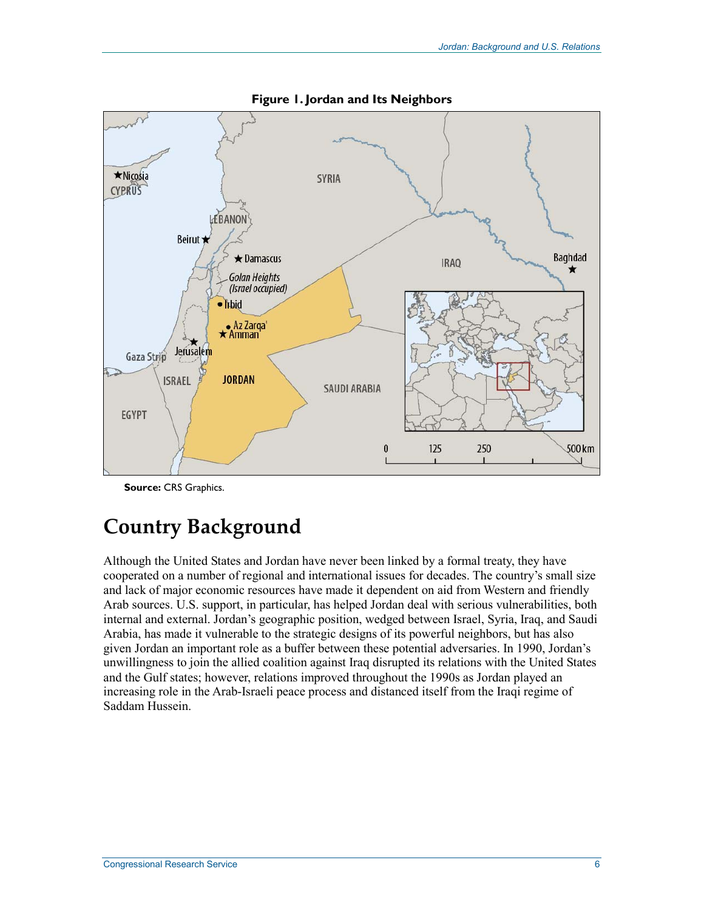

**Figure 1. Jordan and Its Neighbors** 

**Source:** CRS Graphics.

## **Country Background**

Although the United States and Jordan have never been linked by a formal treaty, they have cooperated on a number of regional and international issues for decades. The country's small size and lack of major economic resources have made it dependent on aid from Western and friendly Arab sources. U.S. support, in particular, has helped Jordan deal with serious vulnerabilities, both internal and external. Jordan's geographic position, wedged between Israel, Syria, Iraq, and Saudi Arabia, has made it vulnerable to the strategic designs of its powerful neighbors, but has also given Jordan an important role as a buffer between these potential adversaries. In 1990, Jordan's unwillingness to join the allied coalition against Iraq disrupted its relations with the United States and the Gulf states; however, relations improved throughout the 1990s as Jordan played an increasing role in the Arab-Israeli peace process and distanced itself from the Iraqi regime of Saddam Hussein.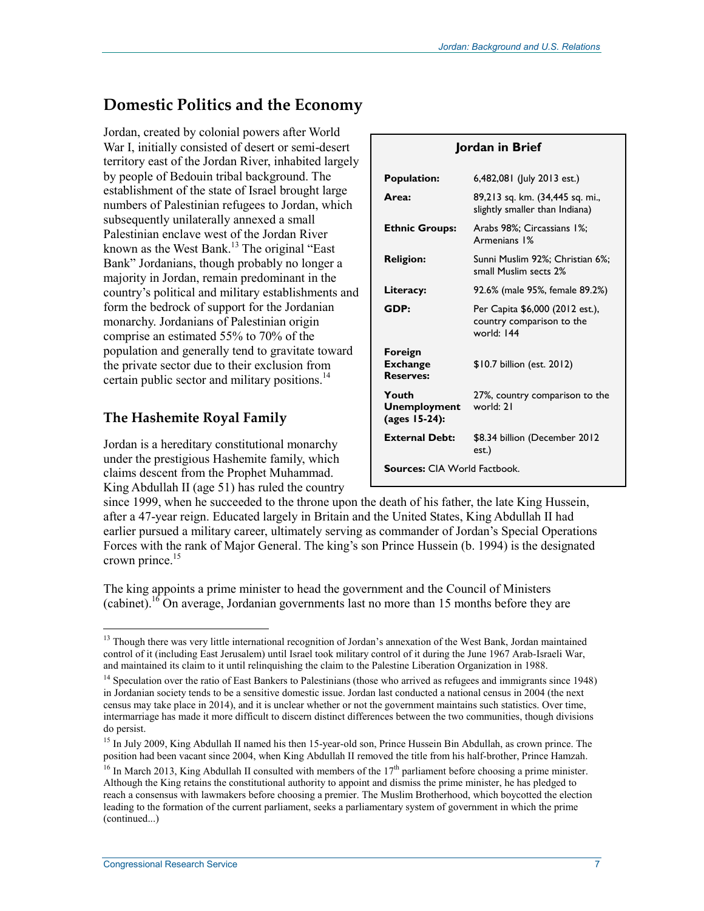### **Domestic Politics and the Economy**

Jordan, created by colonial powers after World War I, initially consisted of desert or semi-desert territory east of the Jordan River, inhabited largely by people of Bedouin tribal background. The establishment of the state of Israel brought large numbers of Palestinian refugees to Jordan, which subsequently unilaterally annexed a small Palestinian enclave west of the Jordan River known as the West Bank.<sup>13</sup> The original "East" Bank" Jordanians, though probably no longer a majority in Jordan, remain predominant in the country's political and military establishments and form the bedrock of support for the Jordanian monarchy. Jordanians of Palestinian origin comprise an estimated 55% to 70% of the population and generally tend to gravitate toward the private sector due to their exclusion from certain public sector and military positions.<sup>14</sup>

#### **The Hashemite Royal Family**

Jordan is a hereditary constitutional monarchy under the prestigious Hashemite family, which claims descent from the Prophet Muhammad. King Abdullah II (age 51) has ruled the country

| Jordan in Brief                                |                                                                            |  |  |  |  |
|------------------------------------------------|----------------------------------------------------------------------------|--|--|--|--|
| <b>Population:</b>                             | 6,482,081 (July 2013 est.)                                                 |  |  |  |  |
| Area:                                          | 89,213 sq. km. (34,445 sq. mi.,<br>slightly smaller than Indiana)          |  |  |  |  |
| <b>Ethnic Groups:</b>                          | Arabs 98%; Circassians 1%;<br>Armenians 1%                                 |  |  |  |  |
| <b>Religion:</b>                               | Sunni Muslim 92%; Christian 6%;<br>small Muslim sects 2%                   |  |  |  |  |
| Literacy:                                      | 92.6% (male 95%, female 89.2%)                                             |  |  |  |  |
| GDP:                                           | Per Capita \$6,000 (2012 est.),<br>country comparison to the<br>world: 144 |  |  |  |  |
| Foreign<br><b>Exchange</b><br><b>Reserves:</b> | \$10.7 billion (est. 2012)                                                 |  |  |  |  |
| Youth<br><b>Unemployment</b><br>(ages 15-24):  | 27%, country comparison to the<br>world: 21                                |  |  |  |  |
| <b>External Debt:</b>                          | \$8.34 billion (December 2012<br>est.)                                     |  |  |  |  |
| <b>Sources: CIA World Factbook.</b>            |                                                                            |  |  |  |  |

since 1999, when he succeeded to the throne upon the death of his father, the late King Hussein, after a 47-year reign. Educated largely in Britain and the United States, King Abdullah II had earlier pursued a military career, ultimately serving as commander of Jordan's Special Operations Forces with the rank of Major General. The king's son Prince Hussein (b. 1994) is the designated crown prince. $15$ 

The king appoints a prime minister to head the government and the Council of Ministers (cabinet).<sup>16</sup> On average, Jordanian governments last no more than 15 months before they are

<sup>&</sup>lt;u>.</u> <sup>13</sup> Though there was very little international recognition of Jordan's annexation of the West Bank, Jordan maintained control of it (including East Jerusalem) until Israel took military control of it during the June 1967 Arab-Israeli War, and maintained its claim to it until relinquishing the claim to the Palestine Liberation Organization in 1988.

<sup>&</sup>lt;sup>14</sup> Speculation over the ratio of East Bankers to Palestinians (those who arrived as refugees and immigrants since 1948) in Jordanian society tends to be a sensitive domestic issue. Jordan last conducted a national census in 2004 (the next census may take place in 2014), and it is unclear whether or not the government maintains such statistics. Over time, intermarriage has made it more difficult to discern distinct differences between the two communities, though divisions do persist.

<sup>&</sup>lt;sup>15</sup> In July 2009, King Abdullah II named his then 15-year-old son, Prince Hussein Bin Abdullah, as crown prince. The position had been vacant since 2004, when King Abdullah II removed the title from his half-brother, Prince Hamzah.

<sup>&</sup>lt;sup>16</sup> In March 2013, King Abdullah II consulted with members of the  $17<sup>th</sup>$  parliament before choosing a prime minister. Although the King retains the constitutional authority to appoint and dismiss the prime minister, he has pledged to reach a consensus with lawmakers before choosing a premier. The Muslim Brotherhood, which boycotted the election leading to the formation of the current parliament, seeks a parliamentary system of government in which the prime (continued...)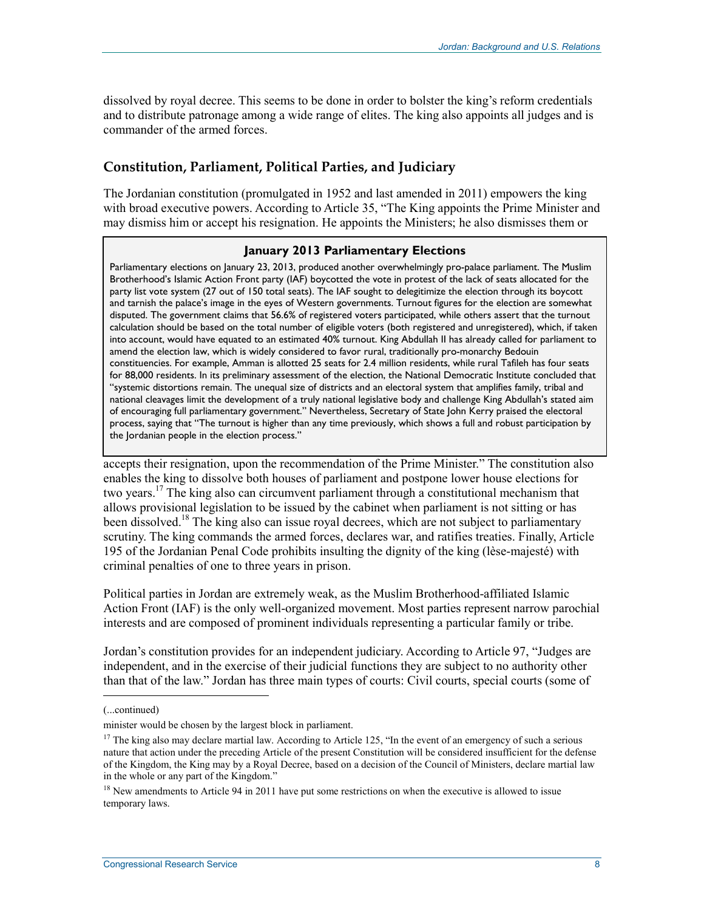dissolved by royal decree. This seems to be done in order to bolster the king's reform credentials and to distribute patronage among a wide range of elites. The king also appoints all judges and is commander of the armed forces.

#### **Constitution, Parliament, Political Parties, and Judiciary**

The Jordanian constitution (promulgated in 1952 and last amended in 2011) empowers the king with broad executive powers. According to Article 35, "The King appoints the Prime Minister and may dismiss him or accept his resignation. He appoints the Ministers; he also dismisses them or

#### **January 2013 Parliamentary Elections**

Parliamentary elections on January 23, 2013, produced another overwhelmingly pro-palace parliament. The Muslim Brotherhood's Islamic Action Front party (IAF) boycotted the vote in protest of the lack of seats allocated for the party list vote system (27 out of 150 total seats). The IAF sought to delegitimize the election through its boycott and tarnish the palace's image in the eyes of Western governments. Turnout figures for the election are somewhat disputed. The government claims that 56.6% of registered voters participated, while others assert that the turnout calculation should be based on the total number of eligible voters (both registered and unregistered), which, if taken into account, would have equated to an estimated 40% turnout. King Abdullah II has already called for parliament to amend the election law, which is widely considered to favor rural, traditionally pro-monarchy Bedouin constituencies. For example, Amman is allotted 25 seats for 2.4 million residents, while rural Tafileh has four seats for 88,000 residents. In its preliminary assessment of the election, the National Democratic Institute concluded that "systemic distortions remain. The unequal size of districts and an electoral system that amplifies family, tribal and national cleavages limit the development of a truly national legislative body and challenge King Abdullah's stated aim of encouraging full parliamentary government." Nevertheless, Secretary of State John Kerry praised the electoral process, saying that "The turnout is higher than any time previously, which shows a full and robust participation by the Jordanian people in the election process."

accepts their resignation, upon the recommendation of the Prime Minister." The constitution also enables the king to dissolve both houses of parliament and postpone lower house elections for two years.<sup>17</sup> The king also can circumvent parliament through a constitutional mechanism that allows provisional legislation to be issued by the cabinet when parliament is not sitting or has been dissolved.<sup>18</sup> The king also can issue royal decrees, which are not subject to parliamentary scrutiny. The king commands the armed forces, declares war, and ratifies treaties. Finally, Article 195 of the Jordanian Penal Code prohibits insulting the dignity of the king (lèse-majesté) with criminal penalties of one to three years in prison.

Political parties in Jordan are extremely weak, as the Muslim Brotherhood-affiliated Islamic Action Front (IAF) is the only well-organized movement. Most parties represent narrow parochial interests and are composed of prominent individuals representing a particular family or tribe.

Jordan's constitution provides for an independent judiciary. According to Article 97, "Judges are independent, and in the exercise of their judicial functions they are subject to no authority other than that of the law." Jordan has three main types of courts: Civil courts, special courts (some of

<sup>(...</sup>continued)

minister would be chosen by the largest block in parliament.

<sup>&</sup>lt;sup>17</sup> The king also may declare martial law. According to Article 125, "In the event of an emergency of such a serious nature that action under the preceding Article of the present Constitution will be considered insufficient for the defense of the Kingdom, the King may by a Royal Decree, based on a decision of the Council of Ministers, declare martial law in the whole or any part of the Kingdom."

<sup>&</sup>lt;sup>18</sup> New amendments to Article 94 in 2011 have put some restrictions on when the executive is allowed to issue temporary laws.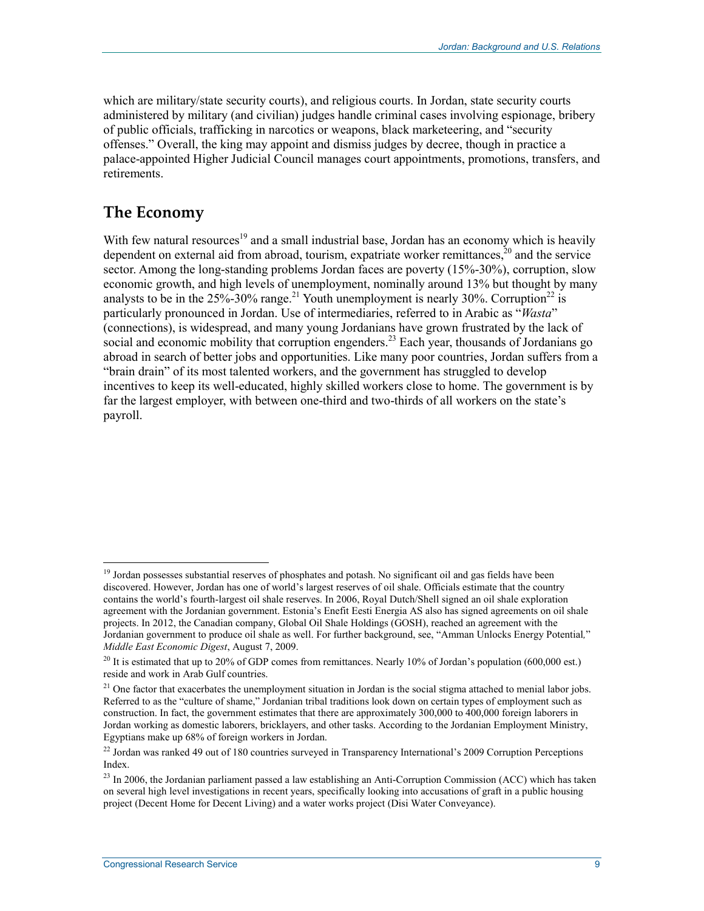which are military/state security courts), and religious courts. In Jordan, state security courts administered by military (and civilian) judges handle criminal cases involving espionage, bribery of public officials, trafficking in narcotics or weapons, black marketeering, and "security offenses." Overall, the king may appoint and dismiss judges by decree, though in practice a palace-appointed Higher Judicial Council manages court appointments, promotions, transfers, and retirements.

### **The Economy**

<u>.</u>

With few natural resources<sup>19</sup> and a small industrial base, Jordan has an economy which is heavily dependent on external aid from abroad, tourism, expatriate worker remittances, $2<sup>0</sup>$  and the service sector. Among the long-standing problems Jordan faces are poverty (15%-30%), corruption, slow economic growth, and high levels of unemployment, nominally around 13% but thought by many analysts to be in the  $25\%$ -30% range.<sup>21</sup> Youth unemployment is nearly 30%. Corruption<sup>22</sup> is particularly pronounced in Jordan. Use of intermediaries, referred to in Arabic as "*Wasta*" (connections), is widespread, and many young Jordanians have grown frustrated by the lack of social and economic mobility that corruption engenders.<sup>23</sup> Each year, thousands of Jordanians go abroad in search of better jobs and opportunities. Like many poor countries, Jordan suffers from a "brain drain" of its most talented workers, and the government has struggled to develop incentives to keep its well-educated, highly skilled workers close to home. The government is by far the largest employer, with between one-third and two-thirds of all workers on the state's payroll.

<sup>&</sup>lt;sup>19</sup> Jordan possesses substantial reserves of phosphates and potash. No significant oil and gas fields have been discovered. However, Jordan has one of world's largest reserves of oil shale. Officials estimate that the country contains the world's fourth-largest oil shale reserves. In 2006, Royal Dutch/Shell signed an oil shale exploration agreement with the Jordanian government. Estonia's Enefit Eesti Energia AS also has signed agreements on oil shale projects. In 2012, the Canadian company, Global Oil Shale Holdings (GOSH), reached an agreement with the Jordanian government to produce oil shale as well. For further background, see, "Amman Unlocks Energy Potential*,*" *Middle East Economic Digest*, August 7, 2009.

 $^{20}$  It is estimated that up to 20% of GDP comes from remittances. Nearly 10% of Jordan's population (600,000 est.) reside and work in Arab Gulf countries.

<sup>&</sup>lt;sup>21</sup> One factor that exacerbates the unemployment situation in Jordan is the social stigma attached to menial labor jobs. Referred to as the "culture of shame," Jordanian tribal traditions look down on certain types of employment such as construction. In fact, the government estimates that there are approximately 300,000 to 400,000 foreign laborers in Jordan working as domestic laborers, bricklayers, and other tasks. According to the Jordanian Employment Ministry, Egyptians make up 68% of foreign workers in Jordan.

<sup>&</sup>lt;sup>22</sup> Jordan was ranked 49 out of 180 countries surveyed in Transparency International's 2009 Corruption Perceptions Index.

<sup>&</sup>lt;sup>23</sup> In 2006, the Jordanian parliament passed a law establishing an Anti-Corruption Commission (ACC) which has taken on several high level investigations in recent years, specifically looking into accusations of graft in a public housing project (Decent Home for Decent Living) and a water works project (Disi Water Conveyance).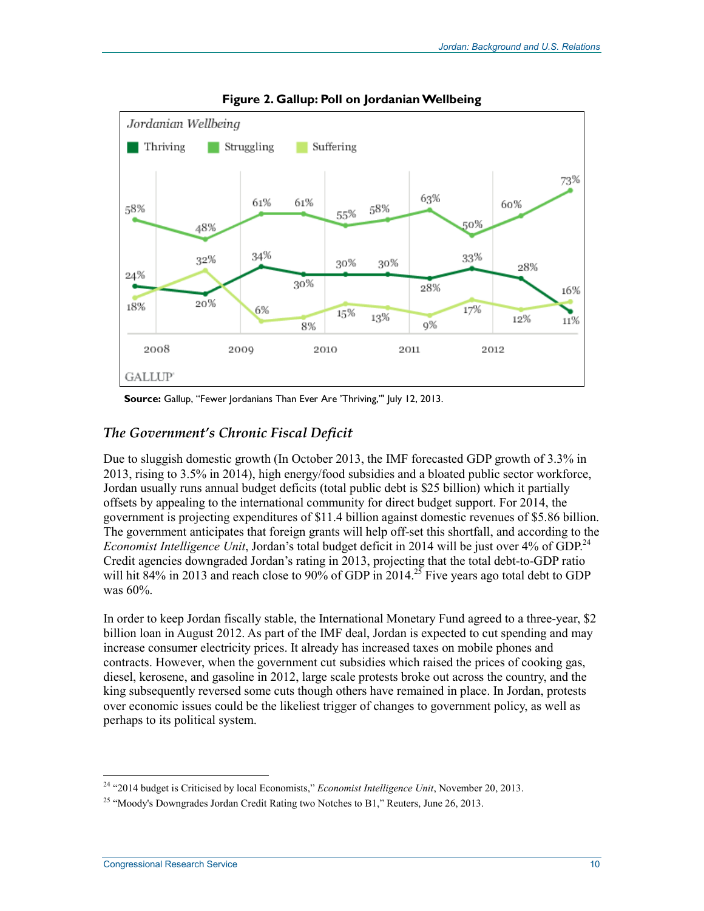

**Figure 2. Gallup: Poll on Jordanian Wellbeing** 

**Source:** Gallup, "Fewer Jordanians Than Ever Are 'Thriving,'" July 12, 2013.

#### *The Government's Chronic Fiscal Deficit*

Due to sluggish domestic growth (In October 2013, the IMF forecasted GDP growth of 3.3% in 2013, rising to 3.5% in 2014), high energy/food subsidies and a bloated public sector workforce, Jordan usually runs annual budget deficits (total public debt is \$25 billion) which it partially offsets by appealing to the international community for direct budget support. For 2014, the government is projecting expenditures of \$11.4 billion against domestic revenues of \$5.86 billion. The government anticipates that foreign grants will help off-set this shortfall, and according to the *Economist Intelligence Unit*, Jordan's total budget deficit in 2014 will be just over 4% of GDP.<sup>24</sup> Credit agencies downgraded Jordan's rating in 2013, projecting that the total debt-to-GDP ratio will hit 84% in 2013 and reach close to 90% of GDP in 2014.<sup>25</sup> Five years ago total debt to GDP was 60%.

In order to keep Jordan fiscally stable, the International Monetary Fund agreed to a three-year, \$2 billion loan in August 2012. As part of the IMF deal, Jordan is expected to cut spending and may increase consumer electricity prices. It already has increased taxes on mobile phones and contracts. However, when the government cut subsidies which raised the prices of cooking gas, diesel, kerosene, and gasoline in 2012, large scale protests broke out across the country, and the king subsequently reversed some cuts though others have remained in place. In Jordan, protests over economic issues could be the likeliest trigger of changes to government policy, as well as perhaps to its political system.

<sup>24 &</sup>quot;2014 budget is Criticised by local Economists," *Economist Intelligence Unit*, November 20, 2013.

<sup>&</sup>lt;sup>25</sup> "Moody's Downgrades Jordan Credit Rating two Notches to B1," Reuters, June 26, 2013.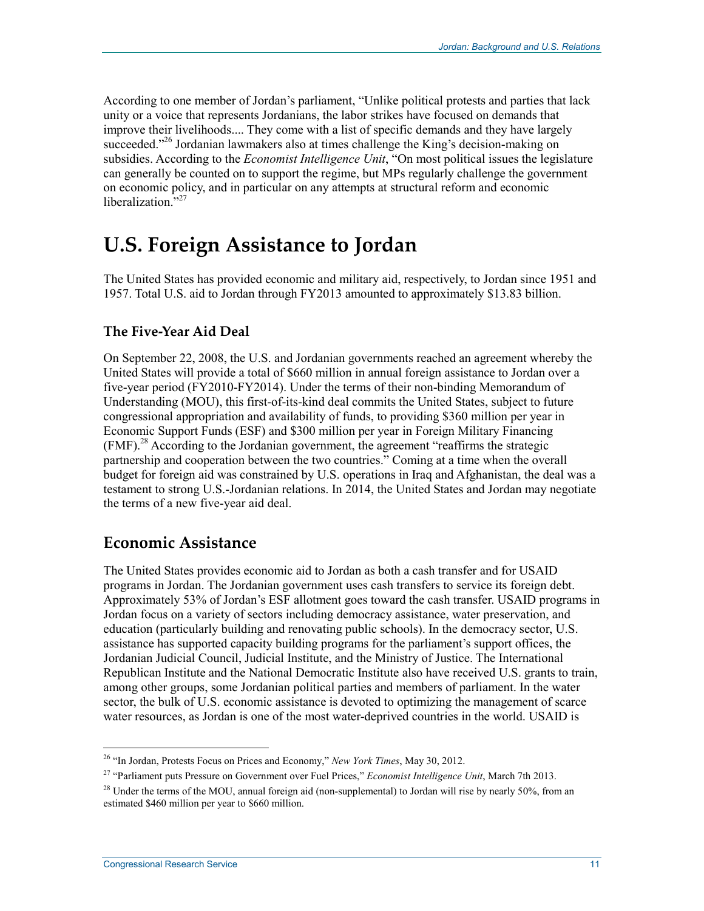According to one member of Jordan's parliament, "Unlike political protests and parties that lack unity or a voice that represents Jordanians, the labor strikes have focused on demands that improve their livelihoods.... They come with a list of specific demands and they have largely succeeded."<sup>26</sup> Jordanian lawmakers also at times challenge the King's decision-making on subsidies. According to the *Economist Intelligence Unit*, "On most political issues the legislature can generally be counted on to support the regime, but MPs regularly challenge the government on economic policy, and in particular on any attempts at structural reform and economic liberalization."<sup>27</sup>

## **U.S. Foreign Assistance to Jordan**

The United States has provided economic and military aid, respectively, to Jordan since 1951 and 1957. Total U.S. aid to Jordan through FY2013 amounted to approximately \$13.83 billion.

#### **The Five-Year Aid Deal**

On September 22, 2008, the U.S. and Jordanian governments reached an agreement whereby the United States will provide a total of \$660 million in annual foreign assistance to Jordan over a five-year period (FY2010-FY2014). Under the terms of their non-binding Memorandum of Understanding (MOU), this first-of-its-kind deal commits the United States, subject to future congressional appropriation and availability of funds, to providing \$360 million per year in Economic Support Funds (ESF) and \$300 million per year in Foreign Military Financing (FMF).28 According to the Jordanian government, the agreement "reaffirms the strategic partnership and cooperation between the two countries." Coming at a time when the overall budget for foreign aid was constrained by U.S. operations in Iraq and Afghanistan, the deal was a testament to strong U.S.-Jordanian relations. In 2014, the United States and Jordan may negotiate the terms of a new five-year aid deal.

### **Economic Assistance**

The United States provides economic aid to Jordan as both a cash transfer and for USAID programs in Jordan. The Jordanian government uses cash transfers to service its foreign debt. Approximately 53% of Jordan's ESF allotment goes toward the cash transfer. USAID programs in Jordan focus on a variety of sectors including democracy assistance, water preservation, and education (particularly building and renovating public schools). In the democracy sector, U.S. assistance has supported capacity building programs for the parliament's support offices, the Jordanian Judicial Council, Judicial Institute, and the Ministry of Justice. The International Republican Institute and the National Democratic Institute also have received U.S. grants to train, among other groups, some Jordanian political parties and members of parliament. In the water sector, the bulk of U.S. economic assistance is devoted to optimizing the management of scarce water resources, as Jordan is one of the most water-deprived countries in the world. USAID is

<sup>26 &</sup>quot;In Jordan, Protests Focus on Prices and Economy," *New York Times*, May 30, 2012.

<sup>27 &</sup>quot;Parliament puts Pressure on Government over Fuel Prices," *Economist Intelligence Unit*, March 7th 2013.

<sup>&</sup>lt;sup>28</sup> Under the terms of the MOU, annual foreign aid (non-supplemental) to Jordan will rise by nearly 50%, from an estimated \$460 million per year to \$660 million.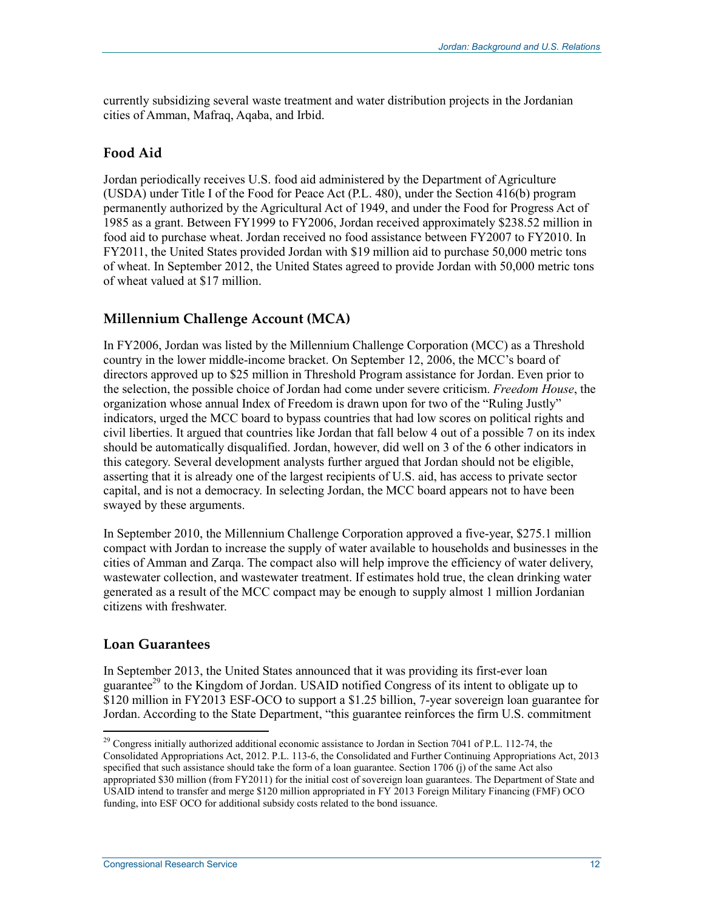currently subsidizing several waste treatment and water distribution projects in the Jordanian cities of Amman, Mafraq, Aqaba, and Irbid.

#### **Food Aid**

Jordan periodically receives U.S. food aid administered by the Department of Agriculture (USDA) under Title I of the Food for Peace Act (P.L. 480), under the Section 416(b) program permanently authorized by the Agricultural Act of 1949, and under the Food for Progress Act of 1985 as a grant. Between FY1999 to FY2006, Jordan received approximately \$238.52 million in food aid to purchase wheat. Jordan received no food assistance between FY2007 to FY2010. In FY2011, the United States provided Jordan with \$19 million aid to purchase 50,000 metric tons of wheat. In September 2012, the United States agreed to provide Jordan with 50,000 metric tons of wheat valued at \$17 million.

#### **Millennium Challenge Account (MCA)**

In FY2006, Jordan was listed by the Millennium Challenge Corporation (MCC) as a Threshold country in the lower middle-income bracket. On September 12, 2006, the MCC's board of directors approved up to \$25 million in Threshold Program assistance for Jordan. Even prior to the selection, the possible choice of Jordan had come under severe criticism. *Freedom House*, the organization whose annual Index of Freedom is drawn upon for two of the "Ruling Justly" indicators, urged the MCC board to bypass countries that had low scores on political rights and civil liberties. It argued that countries like Jordan that fall below 4 out of a possible 7 on its index should be automatically disqualified. Jordan, however, did well on 3 of the 6 other indicators in this category. Several development analysts further argued that Jordan should not be eligible, asserting that it is already one of the largest recipients of U.S. aid, has access to private sector capital, and is not a democracy. In selecting Jordan, the MCC board appears not to have been swayed by these arguments.

In September 2010, the Millennium Challenge Corporation approved a five-year, \$275.1 million compact with Jordan to increase the supply of water available to households and businesses in the cities of Amman and Zarqa. The compact also will help improve the efficiency of water delivery, wastewater collection, and wastewater treatment. If estimates hold true, the clean drinking water generated as a result of the MCC compact may be enough to supply almost 1 million Jordanian citizens with freshwater.

#### **Loan Guarantees**

1

In September 2013, the United States announced that it was providing its first-ever loan guarantee<sup>29</sup> to the Kingdom of Jordan. USAID notified Congress of its intent to obligate up to \$120 million in FY2013 ESF-OCO to support a \$1.25 billion, 7-year sovereign loan guarantee for Jordan. According to the State Department, "this guarantee reinforces the firm U.S. commitment

<sup>&</sup>lt;sup>29</sup> Congress initially authorized additional economic assistance to Jordan in Section 7041 of P.L. 112-74, the Consolidated Appropriations Act, 2012. P.L. 113-6, the Consolidated and Further Continuing Appropriations Act, 2013 specified that such assistance should take the form of a loan guarantee. Section 1706 (j) of the same Act also appropriated \$30 million (from FY2011) for the initial cost of sovereign loan guarantees. The Department of State and USAID intend to transfer and merge \$120 million appropriated in FY 2013 Foreign Military Financing (FMF) OCO funding, into ESF OCO for additional subsidy costs related to the bond issuance.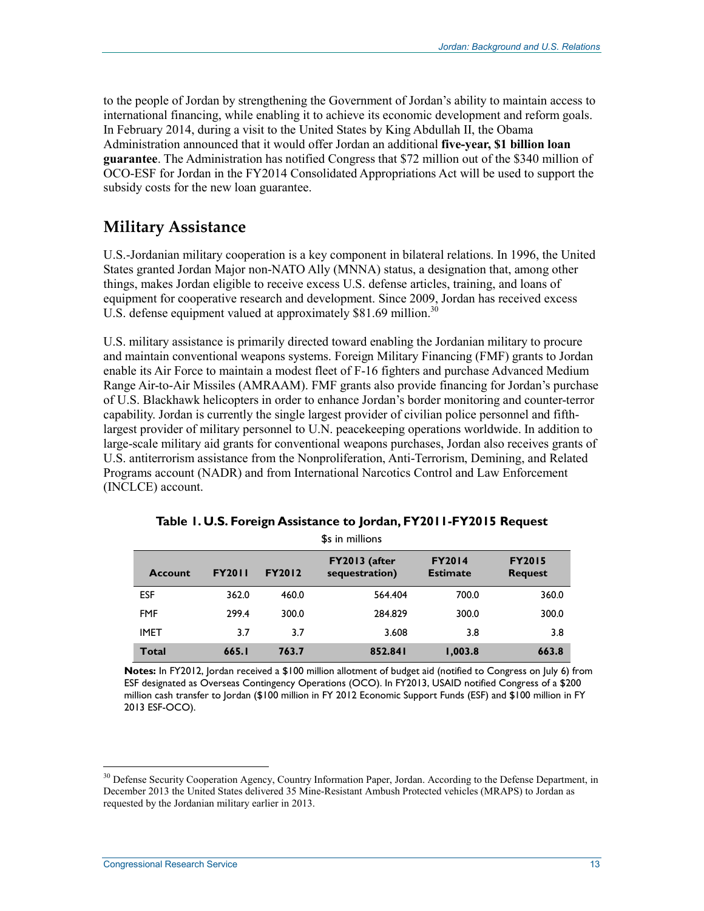to the people of Jordan by strengthening the Government of Jordan's ability to maintain access to international financing, while enabling it to achieve its economic development and reform goals. In February 2014, during a visit to the United States by King Abdullah II, the Obama Administration announced that it would offer Jordan an additional **five-year, \$1 billion loan guarantee**. The Administration has notified Congress that \$72 million out of the \$340 million of OCO-ESF for Jordan in the FY2014 Consolidated Appropriations Act will be used to support the subsidy costs for the new loan guarantee.

## **Military Assistance**

U.S.-Jordanian military cooperation is a key component in bilateral relations. In 1996, the United States granted Jordan Major non-NATO Ally (MNNA) status, a designation that, among other things, makes Jordan eligible to receive excess U.S. defense articles, training, and loans of equipment for cooperative research and development. Since 2009, Jordan has received excess U.S. defense equipment valued at approximately \$81.69 million.<sup>30</sup>

U.S. military assistance is primarily directed toward enabling the Jordanian military to procure and maintain conventional weapons systems. Foreign Military Financing (FMF) grants to Jordan enable its Air Force to maintain a modest fleet of F-16 fighters and purchase Advanced Medium Range Air-to-Air Missiles (AMRAAM). FMF grants also provide financing for Jordan's purchase of U.S. Blackhawk helicopters in order to enhance Jordan's border monitoring and counter-terror capability. Jordan is currently the single largest provider of civilian police personnel and fifthlargest provider of military personnel to U.N. peacekeeping operations worldwide. In addition to large-scale military aid grants for conventional weapons purchases, Jordan also receives grants of U.S. antiterrorism assistance from the Nonproliferation, Anti-Terrorism, Demining, and Related Programs account (NADR) and from International Narcotics Control and Law Enforcement (INCLCE) account.

| <b>Account</b> | <b>FY2011</b> | <b>FY2012</b> | FY2013 (after<br>sequestration) | <b>FY2014</b><br><b>Estimate</b> | <b>FY2015</b><br><b>Request</b> |
|----------------|---------------|---------------|---------------------------------|----------------------------------|---------------------------------|
| <b>ESF</b>     | 362.0         | 460.0         | 564.404                         | 700.0                            | 360.0                           |
| <b>FMF</b>     | 299.4         | 300.0         | 284.829                         | 300.0                            | 300.0                           |
| <b>IMET</b>    | 3.7           | 3.7           | 3.608                           | 3.8                              | 3.8                             |
| <b>Total</b>   | 665.I         | 763.7         | 852.841                         | 1,003.8                          | 663.8                           |

| Table I. U.S. Foreign Assistance to Jordan, FY2011-FY2015 Request |  |
|-------------------------------------------------------------------|--|
| \$s in millions                                                   |  |

**Notes:** In FY2012, Jordan received a \$100 million allotment of budget aid (notified to Congress on July 6) from ESF designated as Overseas Contingency Operations (OCO). In FY2013, USAID notified Congress of a \$200 million cash transfer to Jordan (\$100 million in FY 2012 Economic Support Funds (ESF) and \$100 million in FY 2013 ESF-OCO).

<sup>&</sup>lt;sup>30</sup> Defense Security Cooperation Agency, Country Information Paper, Jordan. According to the Defense Department, in December 2013 the United States delivered 35 Mine-Resistant Ambush Protected vehicles (MRAPS) to Jordan as requested by the Jordanian military earlier in 2013.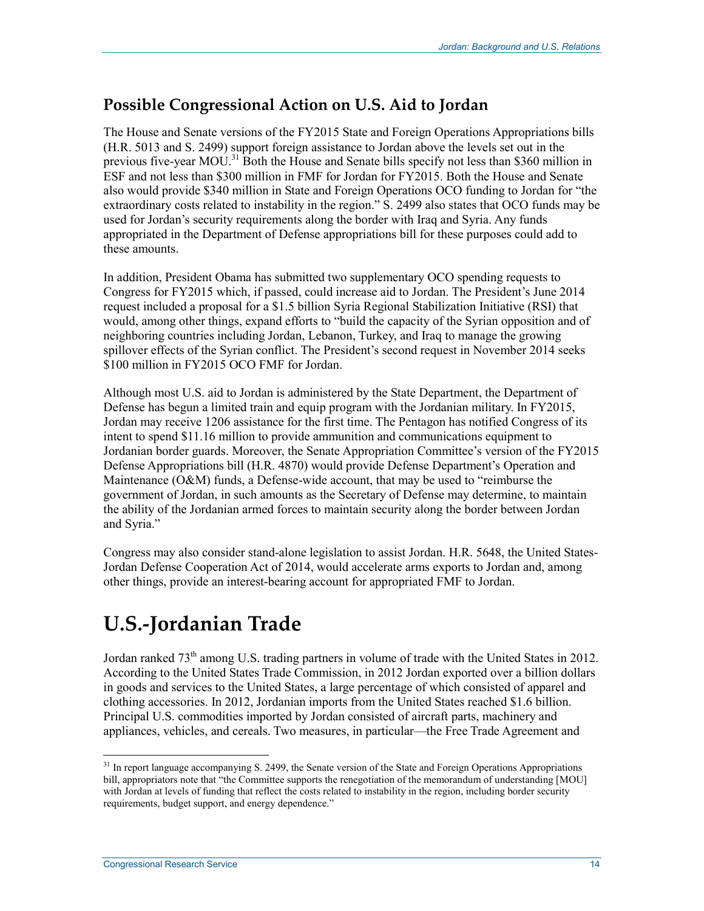### **Possible Congressional Action on U.S. Aid to Jordan**

The House and Senate versions of the FY2015 State and Foreign Operations Appropriations bills (H.R. 5013 and S. 2499) support foreign assistance to Jordan above the levels set out in the previous five-year MOU.<sup>31</sup> Both the House and Senate bills specify not less than \$360 million in ESF and not less than \$300 million in FMF for Jordan for FY2015. Both the House and Senate also would provide \$340 million in State and Foreign Operations OCO funding to Jordan for "the extraordinary costs related to instability in the region." S. 2499 also states that OCO funds may be used for Jordan's security requirements along the border with Iraq and Syria. Any funds appropriated in the Department of Defense appropriations bill for these purposes could add to these amounts.

In addition, President Obama has submitted two supplementary OCO spending requests to Congress for FY2015 which, if passed, could increase aid to Jordan. The President's June 2014 request included a proposal for a \$1.5 billion Syria Regional Stabilization Initiative (RSI) that would, among other things, expand efforts to "build the capacity of the Syrian opposition and of neighboring countries including Jordan, Lebanon, Turkey, and Iraq to manage the growing spillover effects of the Syrian conflict. The President's second request in November 2014 seeks \$100 million in FY2015 OCO FMF for Jordan.

Although most U.S. aid to Jordan is administered by the State Department, the Department of Defense has begun a limited train and equip program with the Jordanian military. In FY2015, Jordan may receive 1206 assistance for the first time. The Pentagon has notified Congress of its intent to spend \$11.16 million to provide ammunition and communications equipment to Jordanian border guards. Moreover, the Senate Appropriation Committee's version of the FY2015 Defense Appropriations bill (H.R. 4870) would provide Defense Department's Operation and Maintenance (O&M) funds, a Defense-wide account, that may be used to "reimburse the government of Jordan, in such amounts as the Secretary of Defense may determine, to maintain the ability of the Jordanian armed forces to maintain security along the border between Jordan and Syria."

Congress may also consider stand-alone legislation to assist Jordan. H.R. 5648, the United States-Jordan Defense Cooperation Act of 2014, would accelerate arms exports to Jordan and, among other things, provide an interest-bearing account for appropriated FMF to Jordan.

## **U.S.-Jordanian Trade**

Jordan ranked 73<sup>th</sup> among U.S. trading partners in volume of trade with the United States in 2012. According to the United States Trade Commission, in 2012 Jordan exported over a billion dollars in goods and services to the United States, a large percentage of which consisted of apparel and clothing accessories. In 2012, Jordanian imports from the United States reached \$1.6 billion. Principal U.S. commodities imported by Jordan consisted of aircraft parts, machinery and appliances, vehicles, and cereals. Two measures, in particular—the Free Trade Agreement and

<sup>&</sup>lt;sup>31</sup> In report language accompanying S. 2499, the Senate version of the State and Foreign Operations Appropriations bill, appropriators note that "the Committee supports the renegotiation of the memorandum of understanding [MOU] with Jordan at levels of funding that reflect the costs related to instability in the region, including border security requirements, budget support, and energy dependence."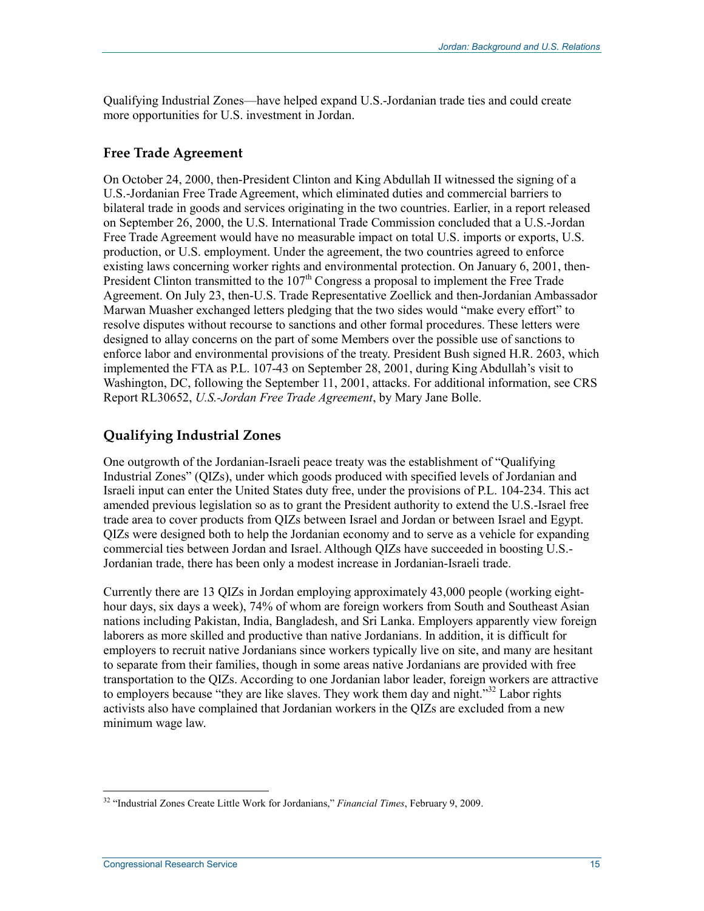Qualifying Industrial Zones—have helped expand U.S.-Jordanian trade ties and could create more opportunities for U.S. investment in Jordan.

#### **Free Trade Agreement**

On October 24, 2000, then-President Clinton and King Abdullah II witnessed the signing of a U.S.-Jordanian Free Trade Agreement, which eliminated duties and commercial barriers to bilateral trade in goods and services originating in the two countries. Earlier, in a report released on September 26, 2000, the U.S. International Trade Commission concluded that a U.S.-Jordan Free Trade Agreement would have no measurable impact on total U.S. imports or exports, U.S. production, or U.S. employment. Under the agreement, the two countries agreed to enforce existing laws concerning worker rights and environmental protection. On January 6, 2001, then-President Clinton transmitted to the 107<sup>th</sup> Congress a proposal to implement the Free Trade Agreement. On July 23, then-U.S. Trade Representative Zoellick and then-Jordanian Ambassador Marwan Muasher exchanged letters pledging that the two sides would "make every effort" to resolve disputes without recourse to sanctions and other formal procedures. These letters were designed to allay concerns on the part of some Members over the possible use of sanctions to enforce labor and environmental provisions of the treaty. President Bush signed H.R. 2603, which implemented the FTA as P.L. 107-43 on September 28, 2001, during King Abdullah's visit to Washington, DC, following the September 11, 2001, attacks. For additional information, see CRS Report RL30652, *U.S.-Jordan Free Trade Agreement*, by Mary Jane Bolle.

#### **Qualifying Industrial Zones**

One outgrowth of the Jordanian-Israeli peace treaty was the establishment of "Qualifying Industrial Zones" (QIZs), under which goods produced with specified levels of Jordanian and Israeli input can enter the United States duty free, under the provisions of P.L. 104-234. This act amended previous legislation so as to grant the President authority to extend the U.S.-Israel free trade area to cover products from QIZs between Israel and Jordan or between Israel and Egypt. QIZs were designed both to help the Jordanian economy and to serve as a vehicle for expanding commercial ties between Jordan and Israel. Although QIZs have succeeded in boosting U.S.- Jordanian trade, there has been only a modest increase in Jordanian-Israeli trade.

Currently there are 13 QIZs in Jordan employing approximately 43,000 people (working eighthour days, six days a week), 74% of whom are foreign workers from South and Southeast Asian nations including Pakistan, India, Bangladesh, and Sri Lanka. Employers apparently view foreign laborers as more skilled and productive than native Jordanians. In addition, it is difficult for employers to recruit native Jordanians since workers typically live on site, and many are hesitant to separate from their families, though in some areas native Jordanians are provided with free transportation to the QIZs. According to one Jordanian labor leader, foreign workers are attractive to employers because "they are like slaves. They work them day and night."<sup>32</sup> Labor rights activists also have complained that Jordanian workers in the QIZs are excluded from a new minimum wage law.

<sup>&</sup>lt;u>.</u> 32 "Industrial Zones Create Little Work for Jordanians," *Financial Times*, February 9, 2009.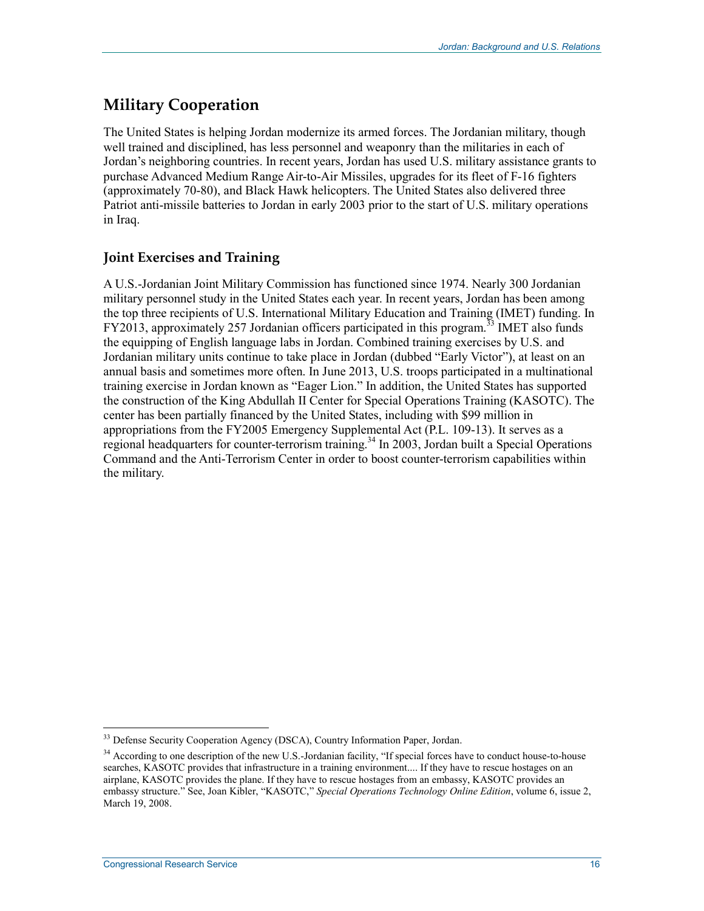## **Military Cooperation**

The United States is helping Jordan modernize its armed forces. The Jordanian military, though well trained and disciplined, has less personnel and weaponry than the militaries in each of Jordan's neighboring countries. In recent years, Jordan has used U.S. military assistance grants to purchase Advanced Medium Range Air-to-Air Missiles, upgrades for its fleet of F-16 fighters (approximately 70-80), and Black Hawk helicopters. The United States also delivered three Patriot anti-missile batteries to Jordan in early 2003 prior to the start of U.S. military operations in Iraq.

#### **Joint Exercises and Training**

A U.S.-Jordanian Joint Military Commission has functioned since 1974. Nearly 300 Jordanian military personnel study in the United States each year. In recent years, Jordan has been among the top three recipients of U.S. International Military Education and Training (IMET) funding. In FY2013, approximately 257 Jordanian officers participated in this program.<sup>33</sup> IMET also funds the equipping of English language labs in Jordan. Combined training exercises by U.S. and Jordanian military units continue to take place in Jordan (dubbed "Early Victor"), at least on an annual basis and sometimes more often. In June 2013, U.S. troops participated in a multinational training exercise in Jordan known as "Eager Lion." In addition, the United States has supported the construction of the King Abdullah II Center for Special Operations Training (KASOTC). The center has been partially financed by the United States, including with \$99 million in appropriations from the FY2005 Emergency Supplemental Act (P.L. 109-13). It serves as a regional headquarters for counter-terrorism training.<sup>34</sup> In 2003, Jordan built a Special Operations Command and the Anti-Terrorism Center in order to boost counter-terrorism capabilities within the military.

<sup>&</sup>lt;sup>33</sup> Defense Security Cooperation Agency (DSCA), Country Information Paper, Jordan.

<sup>&</sup>lt;sup>34</sup> According to one description of the new U.S.-Jordanian facility, "If special forces have to conduct house-to-house searches, KASOTC provides that infrastructure in a training environment.... If they have to rescue hostages on an airplane, KASOTC provides the plane. If they have to rescue hostages from an embassy, KASOTC provides an embassy structure." See, Joan Kibler, "KASOTC," *Special Operations Technology Online Edition*, volume 6, issue 2, March 19, 2008.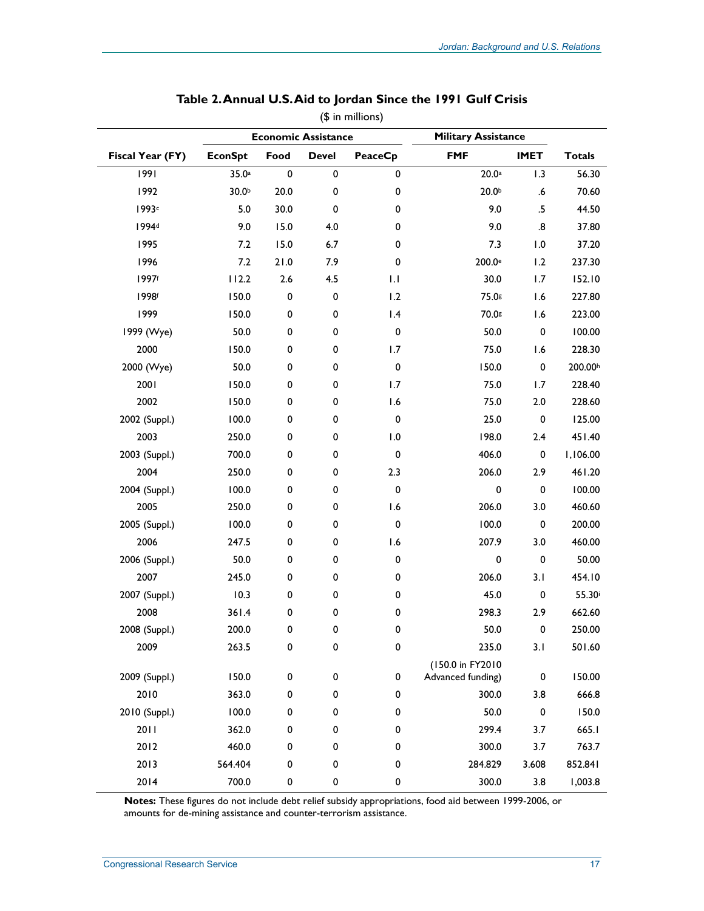|                   | <b>Economic Assistance</b> |           | <b>Military Assistance</b> |                |                                       |                   |                    |
|-------------------|----------------------------|-----------|----------------------------|----------------|---------------------------------------|-------------------|--------------------|
| Fiscal Year (FY)  | <b>EconSpt</b>             | Food      | <b>Devel</b>               | <b>PeaceCp</b> | <b>FMF</b>                            | <b>IMET</b>       | <b>Totals</b>      |
| 1991              | 35.0a                      | $\pmb{0}$ | 0                          | 0              | 20.0a                                 | 1.3               | 56.30              |
| 1992              | 30.0 <sup>b</sup>          | 20.0      | 0                          | 0              | 20.0 <sup>b</sup>                     | .6                | 70.60              |
| 1993c             | 5.0                        | 30.0      | 0                          | 0              | 9.0                                   | .5                | 44.50              |
| 1994 <sup>d</sup> | 9.0                        | 15.0      | 4.0                        | 0              | 9.0                                   | $\boldsymbol{.8}$ | 37.80              |
| 1995              | 7.2                        | 15.0      | 6.7                        | 0              | 7.3                                   | 1.0               | 37.20              |
| 1996              | 7.2                        | 21.0      | 7.9                        | 0              | 200.0 <sup>e</sup>                    | 1.2               | 237.30             |
| 1997f             | 112.2                      | 2.6       | 4.5                        | 1.1            | 30.0                                  | 1.7               | 152.10             |
| 1998f             | 150.0                      | $\pmb{0}$ | 0                          | 1.2            | 75.0g                                 | 1.6               | 227.80             |
| 1999              | 150.0                      | 0         | 0                          | 1.4            | 70.0s                                 | 1.6               | 223.00             |
| 1999 (Wye)        | 50.0                       | 0         | 0                          | $\pmb{0}$      | 50.0                                  | 0                 | 100.00             |
| 2000              | 150.0                      | 0         | 0                          | 1.7            | 75.0                                  | 1.6               | 228.30             |
| 2000 (Wye)        | 50.0                       | 0         | 0                          | $\pmb{0}$      | 150.0                                 | 0                 | 200.00h            |
| 2001              | 150.0                      | 0         | 0                          | 1.7            | 75.0                                  | 1.7               | 228.40             |
| 2002              | 150.0                      | 0         | 0                          | 1.6            | 75.0                                  | 2.0               | 228.60             |
| 2002 (Suppl.)     | 100.0                      | 0         | 0                          | $\pmb{0}$      | 25.0                                  | $\pmb{0}$         | 125.00             |
| 2003              | 250.0                      | 0         | 0                          | 1.0            | 198.0                                 | 2.4               | 451.40             |
| 2003 (Suppl.)     | 700.0                      | 0         | 0                          | $\pmb{0}$      | 406.0                                 | 0                 | 1,106.00           |
| 2004              | 250.0                      | 0         | 0                          | 2.3            | 206.0                                 | 2.9               | 461.20             |
| 2004 (Suppl.)     | 100.0                      | 0         | 0                          | $\pmb{0}$      | 0                                     | 0                 | 100.00             |
| 2005              | 250.0                      | 0         | 0                          | 1.6            | 206.0                                 | 3.0               | 460.60             |
| 2005 (Suppl.)     | 100.0                      | 0         | 0                          | $\pmb{0}$      | 100.0                                 | $\pmb{0}$         | 200.00             |
| 2006              | 247.5                      | 0         | 0                          | 1.6            | 207.9                                 | 3.0               | 460.00             |
| 2006 (Suppl.)     | 50.0                       | 0         | 0                          | 0              | 0                                     | 0                 | 50.00              |
| 2007              | 245.0                      | 0         | 0                          | 0              | 206.0                                 | 3.1               | 454.10             |
| 2007 (Suppl.)     | 10.3                       | 0         | 0                          | 0              | 45.0                                  | $\pmb{0}$         | 55.30 <sup>i</sup> |
| 2008              | 361.4                      | 0         | 0                          | 0              | 298.3                                 | 2.9               | 662.60             |
| 2008 (Suppl.)     | 200.0                      | 0         | 0                          | 0              | 50.0                                  | 0                 | 250.00             |
| 2009              | 263.5                      | $\pmb{0}$ | 0                          | 0              | 235.0                                 | 3.1               | 501.60             |
| 2009 (Suppl.)     | 150.0                      | $\pmb{0}$ | 0                          | 0              | (150.0 in FY2010<br>Advanced funding) | 0                 | 150.00             |
| 2010              | 363.0                      | 0         | 0                          | 0              | 300.0                                 | 3.8               | 666.8              |
| 2010 (Suppl.)     | 100.0                      | 0         | 0                          | 0              | 50.0                                  | 0                 | 150.0              |
| 2011              | 362.0                      | 0         | 0                          | 0              | 299.4                                 | 3.7               | 665.I              |
| 2012              | 460.0                      | 0         | 0                          | 0              | 300.0                                 | 3.7               | 763.7              |
| 2013              | 564.404                    | 0         | 0                          | 0              | 284.829                               | 3.608             | 852.841            |
| 2014              | 700.0                      | 0         | 0                          | 0              | 300.0                                 | 3.8               | 1,003.8            |

#### **Table 2. Annual U.S. Aid to Jordan Since the 1991 Gulf Crisis**  (\$ in millions)

**Notes:** These figures do not include debt relief subsidy appropriations, food aid between 1999-2006, or amounts for de-mining assistance and counter-terrorism assistance.